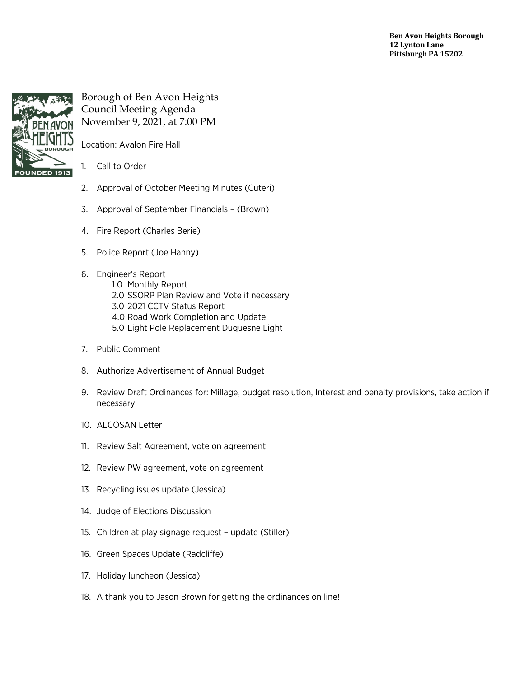**Ben Avon Heights Borough 12 Lynton Lane Pittsburgh PA 15202**



Borough of Ben Avon Heights Council Meeting Agenda November 9, 2021, at 7:00 PM

Location: Avalon Fire Hall

1. Call to Order

- 2. Approval of October Meeting Minutes (Cuteri)
- 3. Approval of September Financials (Brown)
- 4. Fire Report (Charles Berie)
- 5. Police Report (Joe Hanny)
- 6. Engineer's Report
	- 1.0 Monthly Report 2.0 SSORP Plan Review and Vote if necessary 3.0 2021 CCTV Status Report 4.0 Road Work Completion and Update 5.0 Light Pole Replacement Duquesne Light
- 7. Public Comment
- 8. Authorize Advertisement of Annual Budget
- 9. Review Draft Ordinances for: Millage, budget resolution, Interest and penalty provisions, take action if necessary.
- 10. ALCOSAN Letter
- 11. Review Salt Agreement, vote on agreement
- 12. Review PW agreement, vote on agreement
- 13. Recycling issues update (Jessica)
- 14. Judge of Elections Discussion
- 15. Children at play signage request update (Stiller)
- 16. Green Spaces Update (Radcliffe)
- 17. Holiday luncheon (Jessica)
- 18. A thank you to Jason Brown for getting the ordinances on line!